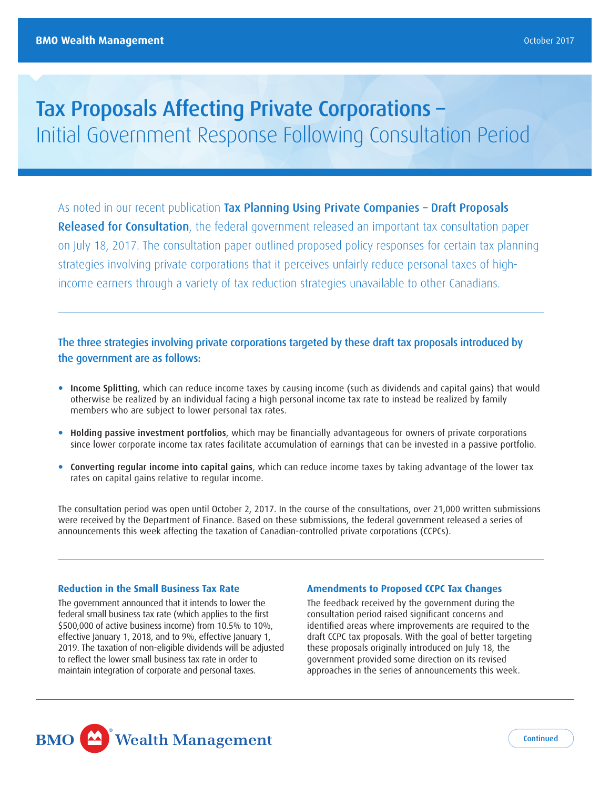# Tax Proposals Affecting Private Corporations – Initial Government Response Following Consultation Period

As noted in our recent publication Tax Planning Using Private Companies - Draft Proposals **Released for Consultation**, the federal government released an important tax consultation paper on July 18, 2017. The consultation paper outlined proposed policy responses for certain tax planning strategies involving private corporations that it perceives unfairly reduce personal taxes of highincome earners through a variety of tax reduction strategies unavailable to other Canadians.

# The three strategies involving private corporations targeted by these draft tax proposals introduced by the government are as follows:

- Income Splitting, which can reduce income taxes by causing income (such as dividends and capital gains) that would otherwise be realized by an individual facing a high personal income tax rate to instead be realized by family members who are subject to lower personal tax rates.
- Holding passive investment portfolios, which may be financially advantageous for owners of private corporations since lower corporate income tax rates facilitate accumulation of earnings that can be invested in a passive portfolio.
- Converting regular income into capital gains, which can reduce income taxes by taking advantage of the lower tax rates on capital gains relative to regular income.

The consultation period was open until October 2, 2017. In the course of the consultations, over 21,000 written submissions were received by the Department of Finance. Based on these submissions, the federal government released a series of announcements this week affecting the taxation of Canadian-controlled private corporations (CCPCs).

#### **Reduction in the Small Business Tax Rate**

The government announced that it intends to lower the federal small business tax rate (which applies to the first \$500,000 of active business income) from 10.5% to 10%, effective January 1, 2018, and to 9%, effective January 1, 2019. The taxation of non-eligible dividends will be adjusted to reflect the lower small business tax rate in order to maintain integration of corporate and personal taxes.

#### **Amendments to Proposed CCPC Tax Changes**

The feedback received by the government during the consultation period raised significant concerns and identified areas where improvements are required to the draft CCPC tax proposals. With the goal of better targeting these proposals originally introduced on July 18, the government provided some direction on its revised approaches in the series of announcements this week.

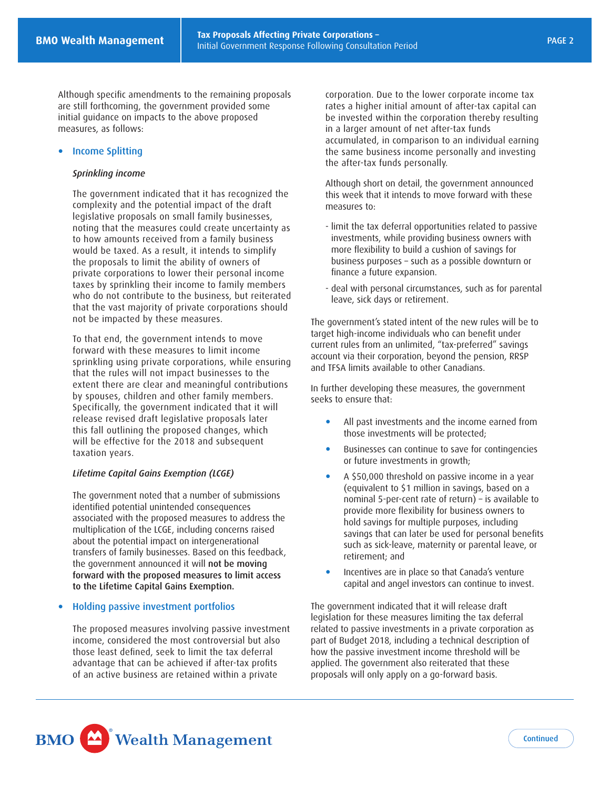Although specific amendments to the remaining proposals are still forthcoming, the government provided some initial guidance on impacts to the above proposed measures, as follows:

### • Income Splitting

#### *Sprinkling income*

The government indicated that it has recognized the complexity and the potential impact of the draft legislative proposals on small family businesses, noting that the measures could create uncertainty as to how amounts received from a family business would be taxed. As a result, it intends to simplify the proposals to limit the ability of owners of private corporations to lower their personal income taxes by sprinkling their income to family members who do not contribute to the business, but reiterated that the vast majority of private corporations should not be impacted by these measures.

To that end, the government intends to move forward with these measures to limit income sprinkling using private corporations, while ensuring that the rules will not impact businesses to the extent there are clear and meaningful contributions by spouses, children and other family members. Specifically, the government indicated that it will release revised draft legislative proposals later this fall outlining the proposed changes, which will be effective for the 2018 and subsequent taxation years.

#### *Lifetime Capital Gains Exemption (LCGE)*

The government noted that a number of submissions identified potential unintended consequences associated with the proposed measures to address the multiplication of the LCGE, including concerns raised about the potential impact on intergenerational transfers of family businesses. Based on this feedback, the government announced it will not be moving forward with the proposed measures to limit access to the Lifetime Capital Gains Exemption.

## Holding passive investment portfolios

The proposed measures involving passive investment income, considered the most controversial but also those least defined, seek to limit the tax deferral advantage that can be achieved if after-tax profits of an active business are retained within a private

corporation. Due to the lower corporate income tax rates a higher initial amount of after-tax capital can be invested within the corporation thereby resulting in a larger amount of net after-tax funds accumulated, in comparison to an individual earning the same business income personally and investing the after-tax funds personally.

Although short on detail, the government announced this week that it intends to move forward with these measures to:

- limit the tax deferral opportunities related to passive investments, while providing business owners with more flexibility to build a cushion of savings for business purposes – such as a possible downturn or finance a future expansion.
- deal with personal circumstances, such as for parental leave, sick days or retirement.

The government's stated intent of the new rules will be to target high-income individuals who can benefit under current rules from an unlimited, "tax-preferred" savings account via their corporation, beyond the pension, RRSP and TFSA limits available to other Canadians.

In further developing these measures, the government seeks to ensure that:

- All past investments and the income earned from those investments will be protected;
- Businesses can continue to save for contingencies or future investments in growth;
- A \$50,000 threshold on passive income in a year (equivalent to \$1 million in savings, based on a nominal 5-per-cent rate of return) – is available to provide more flexibility for business owners to hold savings for multiple purposes, including savings that can later be used for personal benefits such as sick-leave, maternity or parental leave, or retirement; and
- capital and angel investors can continue to invest. Incentives are in place so that Canada's venture

The government indicated that it will release draft legislation for these measures limiting the tax deferral related to passive investments in a private corporation as part of Budget 2018, including a technical description of how the passive investment income threshold will be applied. The government also reiterated that these proposals will only apply on a go-forward basis.